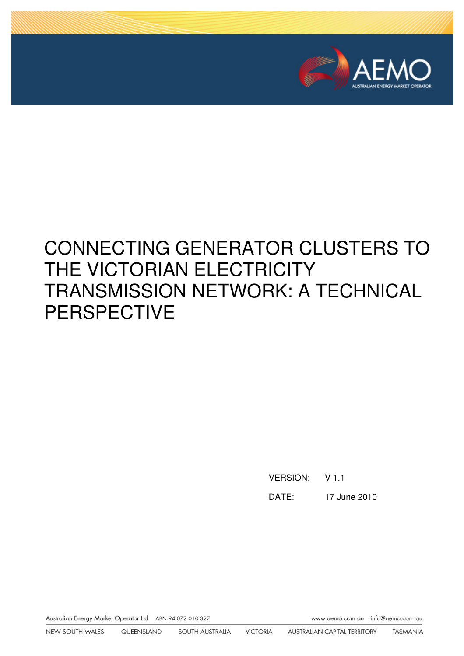

# CONNECTING GENERATOR CLUSTERS TO THE VICTORIAN ELECTRICITY TRANSMISSION NETWORK: A TECHNICAL PERSPECTIVE

VERSION: V 1.1

DATE: 17 June 2010

Australian Energy Market Operator Ltd ABN 94 072 010 327

www.aemo.com.au info@aemo.com.au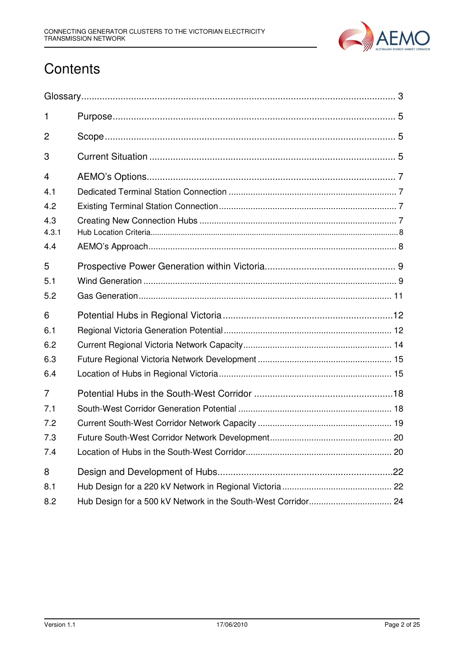

## **Contents**

| $\mathbf{1}$   |  |
|----------------|--|
| 2              |  |
| 3              |  |
| 4              |  |
| 4.1            |  |
| 4.2            |  |
| 4.3            |  |
| 4.3.1          |  |
| 4.4            |  |
| 5              |  |
| 5.1            |  |
| 5.2            |  |
| 6              |  |
| 6.1            |  |
| 6.2            |  |
| 6.3            |  |
| 6.4            |  |
| $\overline{7}$ |  |
| 7.1            |  |
| 7.2            |  |
| 7.3            |  |
| 7.4            |  |
| 8              |  |
| 8.1            |  |
| 8.2            |  |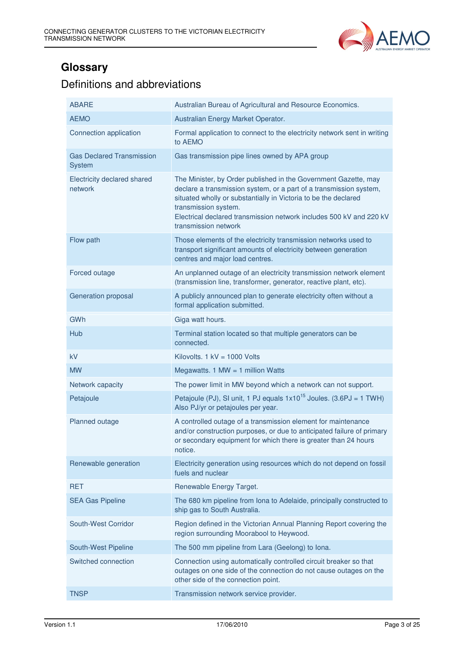

## **Glossary**

## Definitions and abbreviations

| <b>ABARE</b>                               | Australian Bureau of Agricultural and Resource Economics.                                                                                                                                                                                                                                                                       |  |
|--------------------------------------------|---------------------------------------------------------------------------------------------------------------------------------------------------------------------------------------------------------------------------------------------------------------------------------------------------------------------------------|--|
| <b>AEMO</b>                                | Australian Energy Market Operator.                                                                                                                                                                                                                                                                                              |  |
| Connection application                     | Formal application to connect to the electricity network sent in writing<br>to AEMO                                                                                                                                                                                                                                             |  |
| <b>Gas Declared Transmission</b><br>System | Gas transmission pipe lines owned by APA group                                                                                                                                                                                                                                                                                  |  |
| Electricity declared shared<br>network     | The Minister, by Order published in the Government Gazette, may<br>declare a transmission system, or a part of a transmission system,<br>situated wholly or substantially in Victoria to be the declared<br>transmission system.<br>Electrical declared transmission network includes 500 kV and 220 kV<br>transmission network |  |
| Flow path                                  | Those elements of the electricity transmission networks used to<br>transport significant amounts of electricity between generation<br>centres and major load centres.                                                                                                                                                           |  |
| Forced outage                              | An unplanned outage of an electricity transmission network element<br>(transmission line, transformer, generator, reactive plant, etc).                                                                                                                                                                                         |  |
| Generation proposal                        | A publicly announced plan to generate electricity often without a<br>formal application submitted.                                                                                                                                                                                                                              |  |
| GWh                                        | Giga watt hours.                                                                                                                                                                                                                                                                                                                |  |
| Hub                                        | Terminal station located so that multiple generators can be<br>connected.                                                                                                                                                                                                                                                       |  |
| kV                                         | Kilovolts. $1$ kV = 1000 Volts                                                                                                                                                                                                                                                                                                  |  |
| <b>MW</b>                                  | Megawatts. 1 MW = 1 million Watts                                                                                                                                                                                                                                                                                               |  |
| Network capacity                           | The power limit in MW beyond which a network can not support.                                                                                                                                                                                                                                                                   |  |
| Petajoule                                  | Petajoule (PJ), SI unit, 1 PJ equals $1x10^{15}$ Joules. (3.6PJ = 1 TWH)<br>Also PJ/yr or petajoules per year.                                                                                                                                                                                                                  |  |
| Planned outage                             | A controlled outage of a transmission element for maintenance<br>and/or construction purposes, or due to anticipated failure of primary<br>or secondary equipment for which there is greater than 24 hours<br>notice.                                                                                                           |  |
| Renewable generation                       | Electricity generation using resources which do not depend on fossil<br>fuels and nuclear                                                                                                                                                                                                                                       |  |
| <b>RET</b>                                 | Renewable Energy Target.                                                                                                                                                                                                                                                                                                        |  |
| <b>SEA Gas Pipeline</b>                    | The 680 km pipeline from Iona to Adelaide, principally constructed to<br>ship gas to South Australia.                                                                                                                                                                                                                           |  |
| South-West Corridor                        | Region defined in the Victorian Annual Planning Report covering the<br>region surrounding Moorabool to Heywood.                                                                                                                                                                                                                 |  |
| South-West Pipeline                        | The 500 mm pipeline from Lara (Geelong) to Iona.                                                                                                                                                                                                                                                                                |  |
| Switched connection                        | Connection using automatically controlled circuit breaker so that<br>outages on one side of the connection do not cause outages on the<br>other side of the connection point.                                                                                                                                                   |  |
| <b>TNSP</b>                                | Transmission network service provider.                                                                                                                                                                                                                                                                                          |  |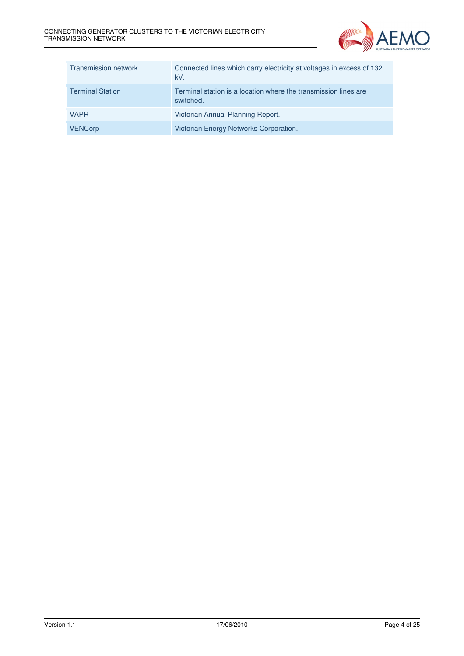

| <b>Transmission network</b> | Connected lines which carry electricity at voltages in excess of 132<br>kV.  |
|-----------------------------|------------------------------------------------------------------------------|
| <b>Terminal Station</b>     | Terminal station is a location where the transmission lines are<br>switched. |
| <b>VAPR</b>                 | Victorian Annual Planning Report.                                            |
| <b>VENCorp</b>              | Victorian Energy Networks Corporation.                                       |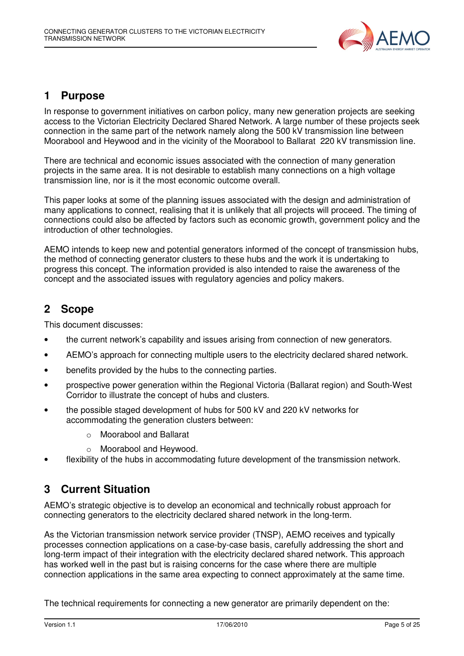

## **1 Purpose**

In response to government initiatives on carbon policy, many new generation projects are seeking access to the Victorian Electricity Declared Shared Network. A large number of these projects seek connection in the same part of the network namely along the 500 kV transmission line between Moorabool and Heywood and in the vicinity of the Moorabool to Ballarat 220 kV transmission line.

There are technical and economic issues associated with the connection of many generation projects in the same area. It is not desirable to establish many connections on a high voltage transmission line, nor is it the most economic outcome overall.

This paper looks at some of the planning issues associated with the design and administration of many applications to connect, realising that it is unlikely that all projects will proceed. The timing of connections could also be affected by factors such as economic growth, government policy and the introduction of other technologies.

AEMO intends to keep new and potential generators informed of the concept of transmission hubs, the method of connecting generator clusters to these hubs and the work it is undertaking to progress this concept. The information provided is also intended to raise the awareness of the concept and the associated issues with regulatory agencies and policy makers.

## **2 Scope**

This document discusses:

- the current network's capability and issues arising from connection of new generators.
- AEMO's approach for connecting multiple users to the electricity declared shared network.
- benefits provided by the hubs to the connecting parties.
- prospective power generation within the Regional Victoria (Ballarat region) and South-West Corridor to illustrate the concept of hubs and clusters.
- the possible staged development of hubs for 500 kV and 220 kV networks for accommodating the generation clusters between:
	- o Moorabool and Ballarat
	- o Moorabool and Heywood.
- flexibility of the hubs in accommodating future development of the transmission network.

## **3 Current Situation**

AEMO's strategic objective is to develop an economical and technically robust approach for connecting generators to the electricity declared shared network in the long-term.

As the Victorian transmission network service provider (TNSP), AEMO receives and typically processes connection applications on a case-by-case basis, carefully addressing the short and long-term impact of their integration with the electricity declared shared network. This approach has worked well in the past but is raising concerns for the case where there are multiple connection applications in the same area expecting to connect approximately at the same time.

The technical requirements for connecting a new generator are primarily dependent on the: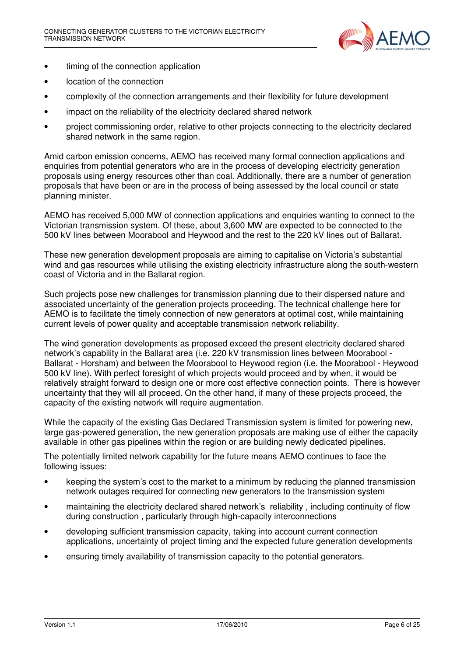

- timing of the connection application
- location of the connection
- complexity of the connection arrangements and their flexibility for future development
- impact on the reliability of the electricity declared shared network
- project commissioning order, relative to other projects connecting to the electricity declared shared network in the same region.

Amid carbon emission concerns, AEMO has received many formal connection applications and enquiries from potential generators who are in the process of developing electricity generation proposals using energy resources other than coal. Additionally, there are a number of generation proposals that have been or are in the process of being assessed by the local council or state planning minister.

AEMO has received 5,000 MW of connection applications and enquiries wanting to connect to the Victorian transmission system. Of these, about 3,600 MW are expected to be connected to the 500 kV lines between Moorabool and Heywood and the rest to the 220 kV lines out of Ballarat.

These new generation development proposals are aiming to capitalise on Victoria's substantial wind and gas resources while utilising the existing electricity infrastructure along the south-western coast of Victoria and in the Ballarat region.

Such projects pose new challenges for transmission planning due to their dispersed nature and associated uncertainty of the generation projects proceeding. The technical challenge here for AEMO is to facilitate the timely connection of new generators at optimal cost, while maintaining current levels of power quality and acceptable transmission network reliability.

The wind generation developments as proposed exceed the present electricity declared shared network's capability in the Ballarat area (i.e. 220 kV transmission lines between Moorabool - Ballarat - Horsham) and between the Moorabool to Heywood region (i.e. the Moorabool - Heywood 500 kV line). With perfect foresight of which projects would proceed and by when, it would be relatively straight forward to design one or more cost effective connection points. There is however uncertainty that they will all proceed. On the other hand, if many of these projects proceed, the capacity of the existing network will require augmentation.

While the capacity of the existing Gas Declared Transmission system is limited for powering new, large gas-powered generation, the new generation proposals are making use of either the capacity available in other gas pipelines within the region or are building newly dedicated pipelines.

The potentially limited network capability for the future means AEMO continues to face the following issues:

- keeping the system's cost to the market to a minimum by reducing the planned transmission network outages required for connecting new generators to the transmission system
- maintaining the electricity declared shared network's reliability , including continuity of flow during construction , particularly through high-capacity interconnections
- developing sufficient transmission capacity, taking into account current connection applications, uncertainty of project timing and the expected future generation developments
- ensuring timely availability of transmission capacity to the potential generators.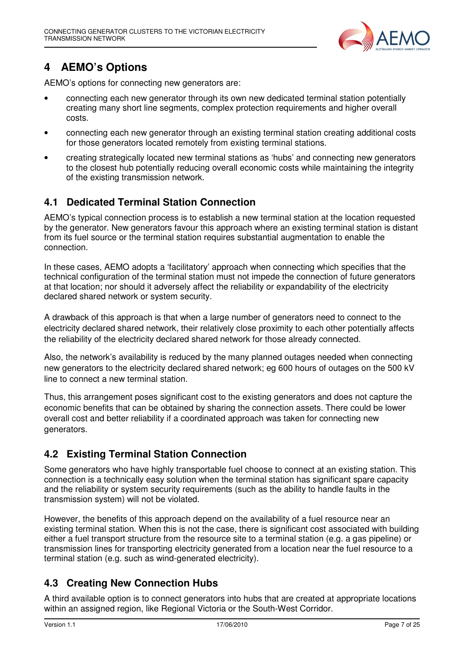

## **4 AEMO's Options**

AEMO's options for connecting new generators are:

- connecting each new generator through its own new dedicated terminal station potentially creating many short line segments, complex protection requirements and higher overall costs.
- connecting each new generator through an existing terminal station creating additional costs for those generators located remotely from existing terminal stations.
- creating strategically located new terminal stations as 'hubs' and connecting new generators to the closest hub potentially reducing overall economic costs while maintaining the integrity of the existing transmission network.

## **4.1 Dedicated Terminal Station Connection**

AEMO's typical connection process is to establish a new terminal station at the location requested by the generator. New generators favour this approach where an existing terminal station is distant from its fuel source or the terminal station requires substantial augmentation to enable the connection.

In these cases, AEMO adopts a 'facilitatory' approach when connecting which specifies that the technical configuration of the terminal station must not impede the connection of future generators at that location; nor should it adversely affect the reliability or expandability of the electricity declared shared network or system security.

A drawback of this approach is that when a large number of generators need to connect to the electricity declared shared network, their relatively close proximity to each other potentially affects the reliability of the electricity declared shared network for those already connected.

Also, the network's availability is reduced by the many planned outages needed when connecting new generators to the electricity declared shared network; eg 600 hours of outages on the 500 kV line to connect a new terminal station.

Thus, this arrangement poses significant cost to the existing generators and does not capture the economic benefits that can be obtained by sharing the connection assets. There could be lower overall cost and better reliability if a coordinated approach was taken for connecting new generators.

## **4.2 Existing Terminal Station Connection**

Some generators who have highly transportable fuel choose to connect at an existing station. This connection is a technically easy solution when the terminal station has significant spare capacity and the reliability or system security requirements (such as the ability to handle faults in the transmission system) will not be violated.

However, the benefits of this approach depend on the availability of a fuel resource near an existing terminal station. When this is not the case, there is significant cost associated with building either a fuel transport structure from the resource site to a terminal station (e.g. a gas pipeline) or transmission lines for transporting electricity generated from a location near the fuel resource to a terminal station (e.g. such as wind-generated electricity).

## **4.3 Creating New Connection Hubs**

A third available option is to connect generators into hubs that are created at appropriate locations within an assigned region, like Regional Victoria or the South-West Corridor.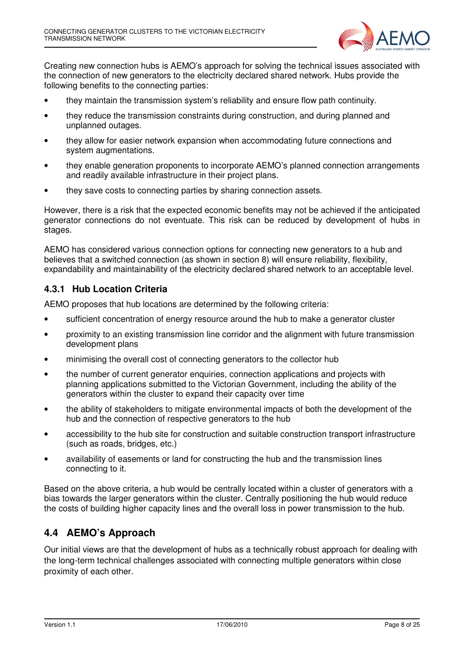

Creating new connection hubs is AEMO's approach for solving the technical issues associated with the connection of new generators to the electricity declared shared network. Hubs provide the following benefits to the connecting parties:

- they maintain the transmission system's reliability and ensure flow path continuity.
- they reduce the transmission constraints during construction, and during planned and unplanned outages.
- they allow for easier network expansion when accommodating future connections and system augmentations.
- they enable generation proponents to incorporate AEMO's planned connection arrangements and readily available infrastructure in their project plans.
- they save costs to connecting parties by sharing connection assets.

However, there is a risk that the expected economic benefits may not be achieved if the anticipated generator connections do not eventuate. This risk can be reduced by development of hubs in stages.

AEMO has considered various connection options for connecting new generators to a hub and believes that a switched connection (as shown in section 8) will ensure reliability, flexibility, expandability and maintainability of the electricity declared shared network to an acceptable level.

#### **4.3.1 Hub Location Criteria**

AEMO proposes that hub locations are determined by the following criteria:

- sufficient concentration of energy resource around the hub to make a generator cluster
- proximity to an existing transmission line corridor and the alignment with future transmission development plans
- minimising the overall cost of connecting generators to the collector hub
- the number of current generator enquiries, connection applications and projects with planning applications submitted to the Victorian Government, including the ability of the generators within the cluster to expand their capacity over time
- the ability of stakeholders to mitigate environmental impacts of both the development of the hub and the connection of respective generators to the hub
- accessibility to the hub site for construction and suitable construction transport infrastructure (such as roads, bridges, etc.)
- availability of easements or land for constructing the hub and the transmission lines connecting to it.

Based on the above criteria, a hub would be centrally located within a cluster of generators with a bias towards the larger generators within the cluster. Centrally positioning the hub would reduce the costs of building higher capacity lines and the overall loss in power transmission to the hub.

#### **4.4 AEMO's Approach**

Our initial views are that the development of hubs as a technically robust approach for dealing with the long-term technical challenges associated with connecting multiple generators within close proximity of each other.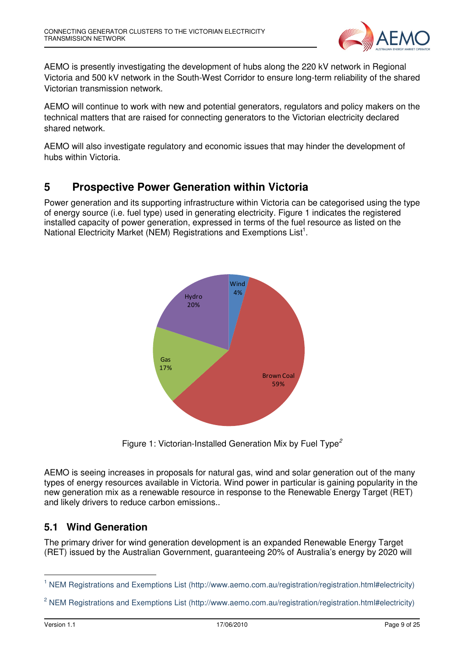

AEMO is presently investigating the development of hubs along the 220 kV network in Regional Victoria and 500 kV network in the South-West Corridor to ensure long-term reliability of the shared Victorian transmission network.

AEMO will continue to work with new and potential generators, regulators and policy makers on the technical matters that are raised for connecting generators to the Victorian electricity declared shared network.

AEMO will also investigate regulatory and economic issues that may hinder the development of hubs within Victoria.

## **5 Prospective Power Generation within Victoria**

Power generation and its supporting infrastructure within Victoria can be categorised using the type of energy source (i.e. fuel type) used in generating electricity. Figure 1 indicates the registered installed capacity of power generation, expressed in terms of the fuel resource as listed on the National Electricity Market (NEM) Registrations and Exemptions List<sup>1</sup>.



Figure 1: Victorian-Installed Generation Mix by Fuel Type<sup>2</sup>

AEMO is seeing increases in proposals for natural gas, wind and solar generation out of the many types of energy resources available in Victoria. Wind power in particular is gaining popularity in the new generation mix as a renewable resource in response to the Renewable Energy Target (RET) and likely drivers to reduce carbon emissions..

#### **5.1 Wind Generation**

The primary driver for wind generation development is an expanded Renewable Energy Target (RET) issued by the Australian Government, guaranteeing 20% of Australia's energy by 2020 will

l

<sup>&</sup>lt;sup>1</sup> NEM Registrations and Exemptions List (http://www.aemo.com.au/registration/registration.html#electricity)

<sup>&</sup>lt;sup>2</sup> NEM Registrations and Exemptions List (http://www.aemo.com.au/registration/registration.html#electricity)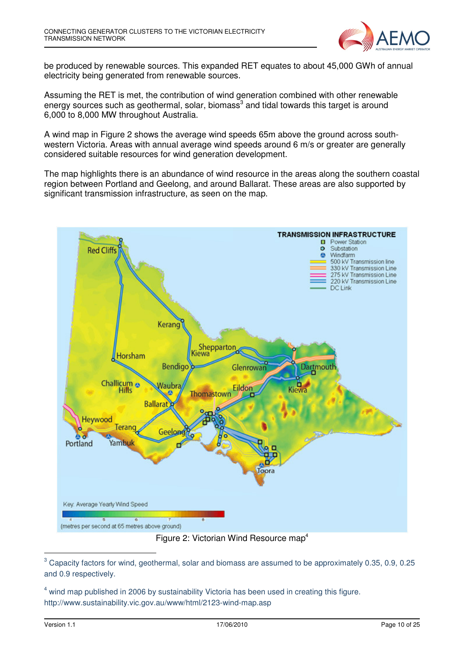

be produced by renewable sources. This expanded RET equates to about 45,000 GWh of annual electricity being generated from renewable sources.

Assuming the RET is met, the contribution of wind generation combined with other renewable energy sources such as geothermal, solar, biomass<sup>3</sup> and tidal towards this target is around 6,000 to 8,000 MW throughout Australia.

A wind map in Figure 2 shows the average wind speeds 65m above the ground across southwestern Victoria. Areas with annual average wind speeds around 6 m/s or greater are generally considered suitable resources for wind generation development.

The map highlights there is an abundance of wind resource in the areas along the southern coastal region between Portland and Geelong, and around Ballarat. These areas are also supported by significant transmission infrastructure, as seen on the map.



Figure 2: Victorian Wind Resource map<sup>4</sup>

-

 $^3$  Capacity factors for wind, geothermal, solar and biomass are assumed to be approximately 0.35, 0.9, 0.25 and 0.9 respectively.

<sup>&</sup>lt;sup>4</sup> wind map published in 2006 by sustainability Victoria has been used in creating this figure. http://www.sustainability.vic.gov.au/www/html/2123-wind-map.asp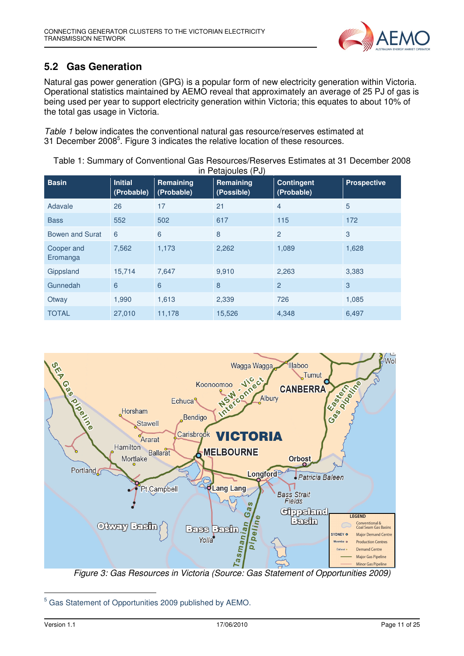

## **5.2 Gas Generation**

Natural gas power generation (GPG) is a popular form of new electricity generation within Victoria. Operational statistics maintained by AEMO reveal that approximately an average of 25 PJ of gas is being used per year to support electricity generation within Victoria; this equates to about 10% of the total gas usage in Victoria.

Table 1 below indicates the conventional natural gas resource/reserves estimated at 31 December 2008<sup>5</sup>. Figure 3 indicates the relative location of these resources.

Table 1: Summary of Conventional Gas Resources/Reserves Estimates at 31 December 2008 in Petajoules (PJ)

|                        |                              |                         | ----- 1. - <i>1</i>     |                                 |                    |
|------------------------|------------------------------|-------------------------|-------------------------|---------------------------------|--------------------|
| <b>Basin</b>           | <b>Initial</b><br>(Probable) | Remaining<br>(Probable) | Remaining<br>(Possible) | <b>Contingent</b><br>(Probable) | <b>Prospective</b> |
| Adavale                | 26                           | 17                      | 21                      | $\overline{4}$                  | 5                  |
| <b>Bass</b>            | 552                          | 502                     | 617                     | 115                             | 172                |
| Bowen and Surat        | 6                            | 6                       | 8                       | $\overline{2}$                  | 3                  |
| Cooper and<br>Eromanga | 7,562                        | 1,173                   | 2,262                   | 1,089                           | 1,628              |
| Gippsland              | 15,714                       | 7,647                   | 9,910                   | 2,263                           | 3,383              |
| Gunnedah               | 6                            | 6                       | 8                       | $\overline{2}$                  | 3                  |
| Otway                  | 1,990                        | 1,613                   | 2,339                   | 726                             | 1,085              |
| <b>TOTAL</b>           | 27,010                       | 11,178                  | 15,526                  | 4,348                           | 6,497              |



-

<sup>&</sup>lt;sup>5</sup> Gas Statement of Opportunities 2009 published by AEMO.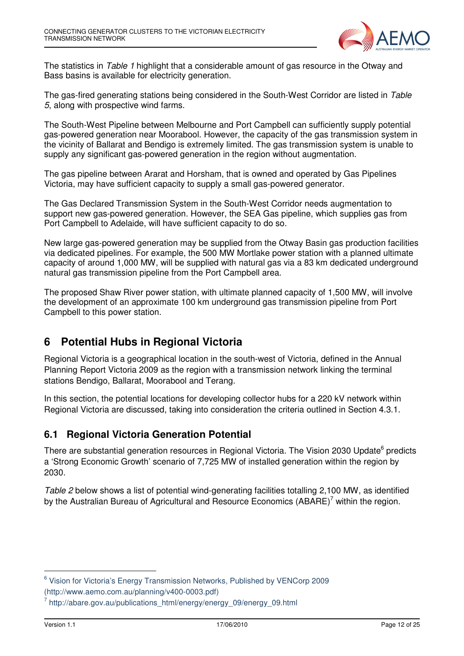

The statistics in Table 1 highlight that a considerable amount of gas resource in the Otway and Bass basins is available for electricity generation.

The gas-fired generating stations being considered in the South-West Corridor are listed in Table 5, along with prospective wind farms.

The South-West Pipeline between Melbourne and Port Campbell can sufficiently supply potential gas-powered generation near Moorabool. However, the capacity of the gas transmission system in the vicinity of Ballarat and Bendigo is extremely limited. The gas transmission system is unable to supply any significant gas-powered generation in the region without augmentation.

The gas pipeline between Ararat and Horsham, that is owned and operated by Gas Pipelines Victoria, may have sufficient capacity to supply a small gas-powered generator.

The Gas Declared Transmission System in the South-West Corridor needs augmentation to support new gas-powered generation. However, the SEA Gas pipeline, which supplies gas from Port Campbell to Adelaide, will have sufficient capacity to do so.

New large gas-powered generation may be supplied from the Otway Basin gas production facilities via dedicated pipelines. For example, the 500 MW Mortlake power station with a planned ultimate capacity of around 1,000 MW, will be supplied with natural gas via a 83 km dedicated underground natural gas transmission pipeline from the Port Campbell area.

The proposed Shaw River power station, with ultimate planned capacity of 1,500 MW, will involve the development of an approximate 100 km underground gas transmission pipeline from Port Campbell to this power station.

## **6 Potential Hubs in Regional Victoria**

Regional Victoria is a geographical location in the south-west of Victoria, defined in the Annual Planning Report Victoria 2009 as the region with a transmission network linking the terminal stations Bendigo, Ballarat, Moorabool and Terang.

In this section, the potential locations for developing collector hubs for a 220 kV network within Regional Victoria are discussed, taking into consideration the criteria outlined in Section 4.3.1.

#### **6.1 Regional Victoria Generation Potential**

There are substantial generation resources in Regional Victoria. The Vision 2030 Update<sup>6</sup> predicts a 'Strong Economic Growth' scenario of 7,725 MW of installed generation within the region by 2030.

Table 2 below shows a list of potential wind-generating facilities totalling 2,100 MW, as identified by the Australian Bureau of Agricultural and Resource Economics (ABARE)<sup>7</sup> within the region.

j

<sup>&</sup>lt;sup>6</sup> Vision for Victoria's Energy Transmission Networks, Published by VENCorp 2009 (http://www.aemo.com.au/planning/v400-0003.pdf)

<sup>&</sup>lt;sup>7</sup> http://abare.gov.au/publications\_html/energy/energy\_09/energy\_09.html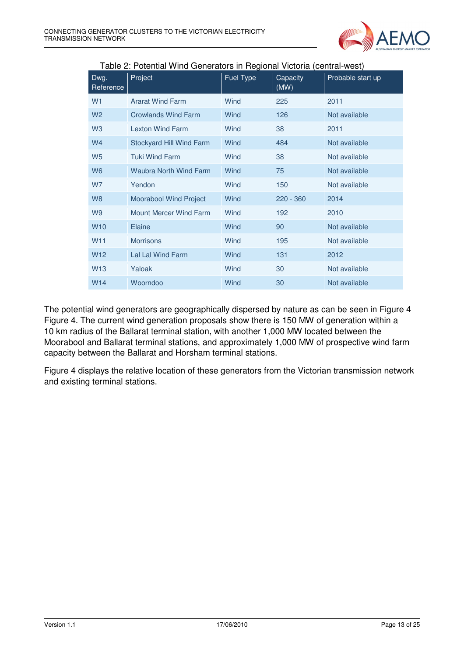

| Dwg.<br>Reference | Project                       | Fuel Type | Capacity<br>(MW) | Probable start up |
|-------------------|-------------------------------|-----------|------------------|-------------------|
| W <sub>1</sub>    | <b>Ararat Wind Farm</b>       | Wind      | 225              | 2011              |
| W <sub>2</sub>    | <b>Crowlands Wind Farm</b>    | Wind      | 126              | Not available     |
| W <sub>3</sub>    | <b>Lexton Wind Farm</b>       | Wind      | 38               | 2011              |
| W <sub>4</sub>    | Stockyard Hill Wind Farm      | Wind      | 484              | Not available     |
| W <sub>5</sub>    | <b>Tuki Wind Farm</b>         | Wind      | 38               | Not available     |
| W <sub>6</sub>    | <b>Waubra North Wind Farm</b> | Wind      | 75               | Not available     |
| <b>W7</b>         | Yendon                        | Wind      | 150              | Not available     |
| W <sub>8</sub>    | <b>Moorabool Wind Project</b> | Wind      | $220 - 360$      | 2014              |
| W <sub>9</sub>    | <b>Mount Mercer Wind Farm</b> | Wind      | 192              | 2010              |
| <b>W10</b>        | Elaine                        | Wind      | 90               | Not available     |
| W <sub>11</sub>   | <b>Morrisons</b>              | Wind      | 195              | Not available     |
| W <sub>12</sub>   | Lal Lal Wind Farm             | Wind      | 131              | 2012              |
| W <sub>13</sub>   | Yaloak                        | Wind      | 30               | Not available     |
| W <sub>14</sub>   | Woorndoo                      | Wind      | 30               | Not available     |

Table 2: Potential Wind Generators in Regional Victoria (central-west)

The potential wind generators are geographically dispersed by nature as can be seen in Figure 4 Figure 4. The current wind generation proposals show there is 150 MW of generation within a 10 km radius of the Ballarat terminal station, with another 1,000 MW located between the Moorabool and Ballarat terminal stations, and approximately 1,000 MW of prospective wind farm capacity between the Ballarat and Horsham terminal stations.

Figure 4 displays the relative location of these generators from the Victorian transmission network and existing terminal stations.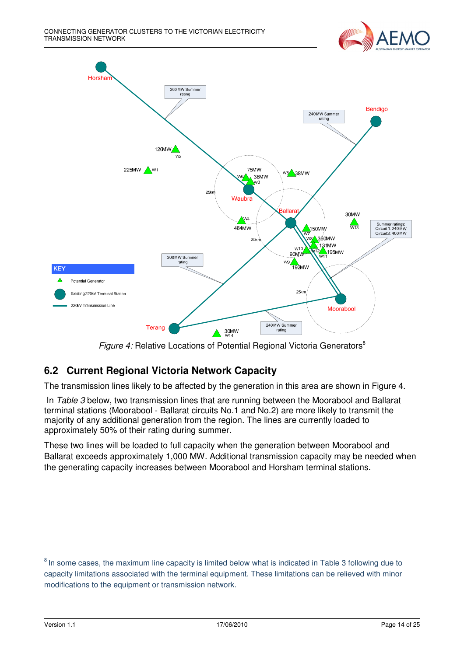



Figure 4: Relative Locations of Potential Regional Victoria Generators<sup>8</sup>

## **6.2 Current Regional Victoria Network Capacity**

The transmission lines likely to be affected by the generation in this area are shown in Figure 4.

In Table 3 below, two transmission lines that are running between the Moorabool and Ballarat terminal stations (Moorabool - Ballarat circuits No.1 and No.2) are more likely to transmit the majority of any additional generation from the region. The lines are currently loaded to approximately 50% of their rating during summer.

These two lines will be loaded to full capacity when the generation between Moorabool and Ballarat exceeds approximately 1,000 MW. Additional transmission capacity may be needed when the generating capacity increases between Moorabool and Horsham terminal stations.

-

<sup>&</sup>lt;sup>8</sup> In some cases, the maximum line capacity is limited below what is indicated in Table 3 following due to capacity limitations associated with the terminal equipment. These limitations can be relieved with minor modifications to the equipment or transmission network.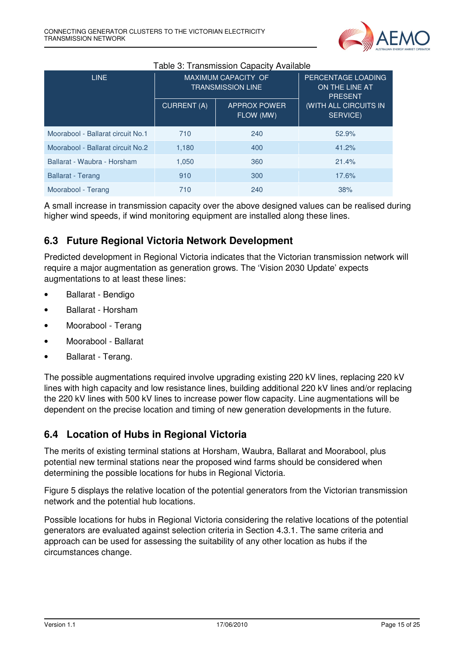

| rabic of franchisectic capacity rivaliable |                                                        |                                  |                                                        |  |  |
|--------------------------------------------|--------------------------------------------------------|----------------------------------|--------------------------------------------------------|--|--|
| LINE                                       | <b>MAXIMUM CAPACITY OF</b><br><b>TRANSMISSION LINE</b> |                                  | PERCENTAGE LOADING<br>ON THE LINE AT<br><b>PRESENT</b> |  |  |
|                                            | <b>CURRENT (A)</b>                                     | <b>APPROX POWER</b><br>FLOW (MW) | (WITH ALL CIRCUITS IN<br>SERVICE)                      |  |  |
| Moorabool - Ballarat circuit No.1          | 710                                                    | 240                              | 52.9%                                                  |  |  |
| Moorabool - Ballarat circuit No.2          | 1,180                                                  | 400                              | 41.2%                                                  |  |  |
| Ballarat - Waubra - Horsham                | 1,050                                                  | 360                              | 21.4%                                                  |  |  |
| <b>Ballarat - Terang</b>                   | 910                                                    | 300                              | 17.6%                                                  |  |  |
| Moorabool - Terang                         | 710                                                    | 240                              | 38%                                                    |  |  |

#### Table 3: Transmission Capacity Available

A small increase in transmission capacity over the above designed values can be realised during higher wind speeds, if wind monitoring equipment are installed along these lines.

### **6.3 Future Regional Victoria Network Development**

Predicted development in Regional Victoria indicates that the Victorian transmission network will require a major augmentation as generation grows. The 'Vision 2030 Update' expects augmentations to at least these lines:

- Ballarat Bendigo
- Ballarat Horsham
- Moorabool Terang
- Moorabool Ballarat
- Ballarat Terang.

The possible augmentations required involve upgrading existing 220 kV lines, replacing 220 kV lines with high capacity and low resistance lines, building additional 220 kV lines and/or replacing the 220 kV lines with 500 kV lines to increase power flow capacity. Line augmentations will be dependent on the precise location and timing of new generation developments in the future.

#### **6.4 Location of Hubs in Regional Victoria**

The merits of existing terminal stations at Horsham, Waubra, Ballarat and Moorabool, plus potential new terminal stations near the proposed wind farms should be considered when determining the possible locations for hubs in Regional Victoria.

Figure 5 displays the relative location of the potential generators from the Victorian transmission network and the potential hub locations.

Possible locations for hubs in Regional Victoria considering the relative locations of the potential generators are evaluated against selection criteria in Section 4.3.1. The same criteria and approach can be used for assessing the suitability of any other location as hubs if the circumstances change.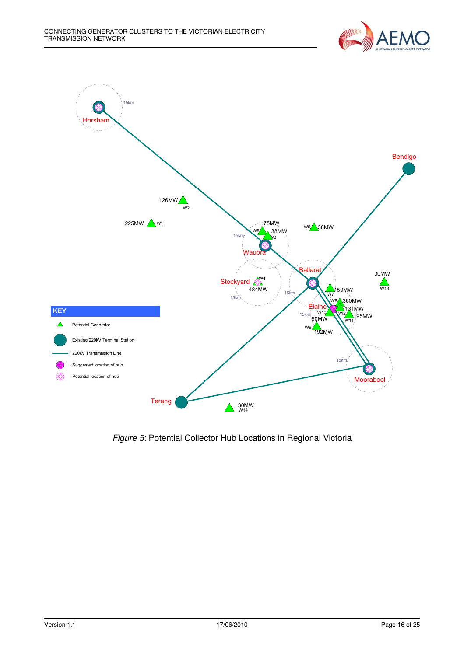



Figure 5: Potential Collector Hub Locations in Regional Victoria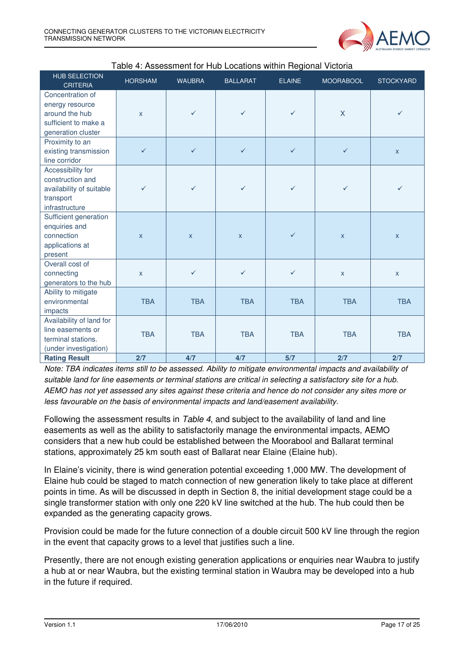

| <b>HUB SELECTION</b><br><b>CRITERIA</b> | <b>HORSHAM</b> | <b>WAUBRA</b> | <b>BALLARAT</b> | <b>ELAINE</b> | <b>MOORABOOL</b>        | <b>STOCKYARD</b> |
|-----------------------------------------|----------------|---------------|-----------------|---------------|-------------------------|------------------|
| Concentration of                        |                |               |                 |               |                         |                  |
| energy resource                         |                |               |                 |               |                         |                  |
| around the hub                          | $\mathsf{x}$   | $\checkmark$  | $\checkmark$    | $\checkmark$  | $\overline{\mathsf{X}}$ | $\checkmark$     |
| sufficient to make a                    |                |               |                 |               |                         |                  |
| generation cluster                      |                |               |                 |               |                         |                  |
| Proximity to an                         |                |               |                 |               |                         |                  |
| existing transmission                   | $\checkmark$   | $\checkmark$  | $\checkmark$    | $\checkmark$  | $\checkmark$            | $\mathsf{X}$     |
| line corridor                           |                |               |                 |               |                         |                  |
| Accessibility for                       |                |               |                 |               |                         |                  |
| construction and                        |                |               |                 |               |                         |                  |
| availability of suitable                | $\checkmark$   | $\checkmark$  | $\checkmark$    | $\checkmark$  | $\checkmark$            | ✓                |
| transport                               |                |               |                 |               |                         |                  |
| infrastructure                          |                |               |                 |               |                         |                  |
| Sufficient generation                   |                |               |                 |               |                         |                  |
| enquiries and                           |                |               |                 |               |                         |                  |
| connection                              | $\mathsf{X}$   | $\mathsf{x}$  | $\mathsf{X}$    | $\checkmark$  | $\mathsf{X}$            | $\mathsf{X}$     |
| applications at                         |                |               |                 |               |                         |                  |
| present                                 |                |               |                 |               |                         |                  |
| Overall cost of                         |                |               |                 |               |                         |                  |
| connecting                              | $\mathsf{x}$   | $\checkmark$  | $\checkmark$    | $\checkmark$  | $\mathsf{x}$            | $\mathsf{X}$     |
| generators to the hub                   |                |               |                 |               |                         |                  |
| Ability to mitigate                     |                |               |                 |               |                         |                  |
| environmental                           | <b>TBA</b>     | <b>TBA</b>    | <b>TBA</b>      | <b>TBA</b>    | <b>TBA</b>              | <b>TBA</b>       |
| impacts                                 |                |               |                 |               |                         |                  |
| Availability of land for                |                |               |                 |               |                         |                  |
| line easements or                       | <b>TBA</b>     | <b>TBA</b>    | <b>TBA</b>      | <b>TBA</b>    | <b>TBA</b>              | <b>TBA</b>       |
| terminal stations.                      |                |               |                 |               |                         |                  |
| (under investigation)                   |                |               |                 |               |                         |                  |
| <b>Rating Result</b>                    | 2/7            | 4/7           | 4/7             | 5/7           | 2/7                     | 2/7              |

#### Table 4: Assessment for Hub Locations within Regional Victoria

Note: TBA indicates items still to be assessed. Ability to mitigate environmental impacts and availability of suitable land for line easements or terminal stations are critical in selecting a satisfactory site for a hub. AEMO has not yet assessed any sites against these criteria and hence do not consider any sites more or less favourable on the basis of environmental impacts and land/easement availability.

Following the assessment results in Table 4, and subject to the availability of land and line easements as well as the ability to satisfactorily manage the environmental impacts, AEMO considers that a new hub could be established between the Moorabool and Ballarat terminal stations, approximately 25 km south east of Ballarat near Elaine (Elaine hub).

In Elaine's vicinity, there is wind generation potential exceeding 1,000 MW. The development of Elaine hub could be staged to match connection of new generation likely to take place at different points in time. As will be discussed in depth in Section 8, the initial development stage could be a single transformer station with only one 220 kV line switched at the hub. The hub could then be expanded as the generating capacity grows.

Provision could be made for the future connection of a double circuit 500 kV line through the region in the event that capacity grows to a level that justifies such a line.

Presently, there are not enough existing generation applications or enquiries near Waubra to justify a hub at or near Waubra, but the existing terminal station in Waubra may be developed into a hub in the future if required.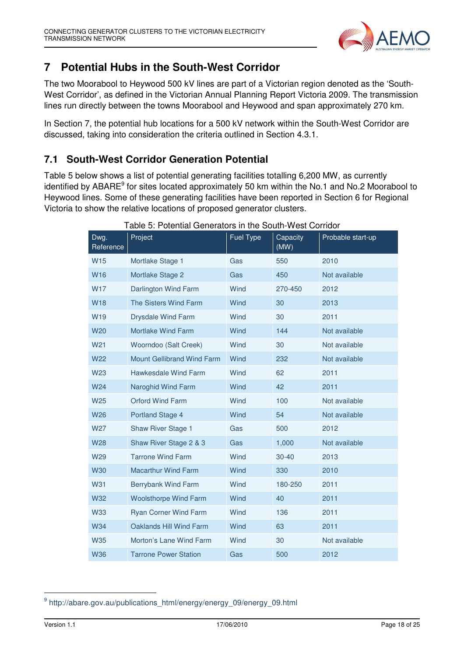

## **7 Potential Hubs in the South-West Corridor**

The two Moorabool to Heywood 500 kV lines are part of a Victorian region denoted as the 'South-West Corridor', as defined in the Victorian Annual Planning Report Victoria 2009. The transmission lines run directly between the towns Moorabool and Heywood and span approximately 270 km.

In Section 7, the potential hub locations for a 500 kV network within the South-West Corridor are discussed, taking into consideration the criteria outlined in Section 4.3.1.

#### **7.1 South-West Corridor Generation Potential**

Table 5 below shows a list of potential generating facilities totalling 6,200 MW, as currently identified by ABARE<sup>9</sup> for sites located approximately 50 km within the No.1 and No.2 Moorabool to Heywood lines. Some of these generating facilities have been reported in Section 6 for Regional Victoria to show the relative locations of proposed generator clusters.

| Dwg.<br>Reference | Project                      | Fuel Type | Capacity<br>(MW) | Probable start-up |
|-------------------|------------------------------|-----------|------------------|-------------------|
| W <sub>15</sub>   | Mortlake Stage 1             | Gas       | 550              | 2010              |
| <b>W16</b>        | Mortlake Stage 2             | Gas       | 450              | Not available     |
| W17               | Darlington Wind Farm         | Wind      | 270-450          | 2012              |
| <b>W18</b>        | The Sisters Wind Farm        | Wind      | 30               | 2013              |
| W <sub>19</sub>   | <b>Drysdale Wind Farm</b>    | Wind      | 30               | 2011              |
| <b>W20</b>        | Mortlake Wind Farm           | Wind      | 144              | Not available     |
| W21               | Woorndoo (Salt Creek)        | Wind      | 30               | Not available     |
| <b>W22</b>        | Mount Gellibrand Wind Farm   | Wind      | 232              | Not available     |
| <b>W23</b>        | Hawkesdale Wind Farm         | Wind      | 62               | 2011              |
| W24               | Naroghid Wind Farm           | Wind      | 42               | 2011              |
| W25               | <b>Orford Wind Farm</b>      | Wind      | 100              | Not available     |
| <b>W26</b>        | Portland Stage 4             | Wind      | 54               | Not available     |
| W27               | Shaw River Stage 1           | Gas       | 500              | 2012              |
| <b>W28</b>        | Shaw River Stage 2 & 3       | Gas       | 1,000            | Not available     |
| W29               | <b>Tarrone Wind Farm</b>     | Wind      | $30 - 40$        | 2013              |
| <b>W30</b>        | <b>Macarthur Wind Farm</b>   | Wind      | 330              | 2010              |
| <b>W31</b>        | Berrybank Wind Farm          | Wind      | 180-250          | 2011              |
| <b>W32</b>        | <b>Woolsthorpe Wind Farm</b> | Wind      | 40               | 2011              |
| <b>W33</b>        | <b>Ryan Corner Wind Farm</b> | Wind      | 136              | 2011              |
| <b>W34</b>        | Oaklands Hill Wind Farm      | Wind      | 63               | 2011              |
| <b>W35</b>        | Morton's Lane Wind Farm      | Wind      | 30               | Not available     |
| <b>W36</b>        | <b>Tarrone Power Station</b> | Gas       | 500              | 2012              |

Table 5: Potential Generators in the South-West Corridor

-

<sup>&</sup>lt;sup>9</sup> http://abare.gov.au/publications\_html/energy/energy\_09/energy\_09.html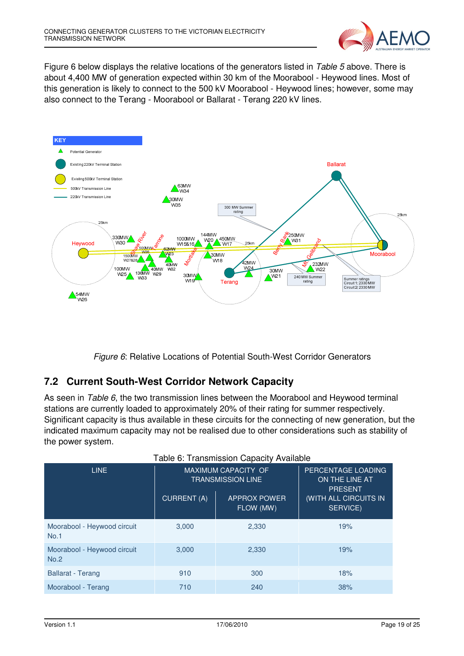

Figure 6 below displays the relative locations of the generators listed in Table 5 above. There is about 4,400 MW of generation expected within 30 km of the Moorabool - Heywood lines. Most of this generation is likely to connect to the 500 kV Moorabool - Heywood lines; however, some may also connect to the Terang - Moorabool or Ballarat - Terang 220 kV lines.



Figure 6: Relative Locations of Potential South-West Corridor Generators

## **7.2 Current South-West Corridor Network Capacity**

As seen in Table 6, the two transmission lines between the Moorabool and Heywood terminal stations are currently loaded to approximately 20% of their rating for summer respectively. Significant capacity is thus available in these circuits for the connecting of new generation, but the indicated maximum capacity may not be realised due to other considerations such as stability of the power system.

| <b>I dule 0. Transmission Capacity Avaliable</b> |                                                        |                                  |                                                        |  |  |
|--------------------------------------------------|--------------------------------------------------------|----------------------------------|--------------------------------------------------------|--|--|
| LINE                                             | <b>MAXIMUM CAPACITY OF</b><br><b>TRANSMISSION LINE</b> |                                  | PERCENTAGE LOADING<br>ON THE LINE AT<br><b>PRESENT</b> |  |  |
|                                                  | <b>CURRENT (A)</b>                                     | <b>APPROX POWER</b><br>FLOW (MW) | (WITH ALL CIRCUITS IN<br>SERVICE)                      |  |  |
| Moorabool - Heywood circuit<br>No.1              | 3,000                                                  | 2,330                            | 19%                                                    |  |  |
| Moorabool - Heywood circuit<br>No.2              | 3,000                                                  | 2,330                            | 19%                                                    |  |  |
| <b>Ballarat - Terang</b>                         | 910                                                    | 300                              | 18%                                                    |  |  |
| Moorabool - Terang                               | 710                                                    | 240                              | 38%                                                    |  |  |

#### Table 6: Transmission Capacity Available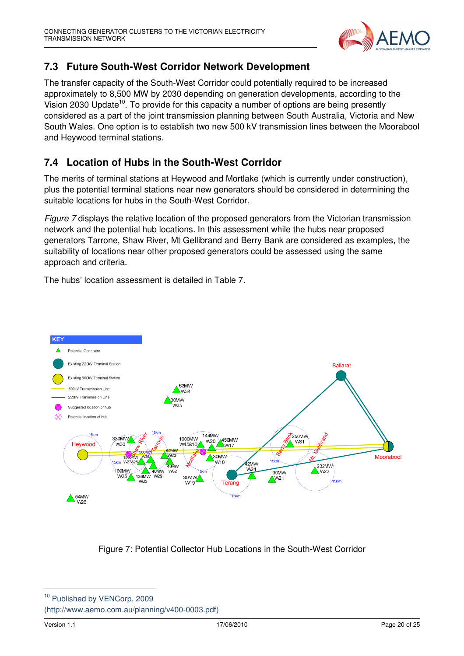

## **7.3 Future South-West Corridor Network Development**

The transfer capacity of the South-West Corridor could potentially required to be increased approximately to 8,500 MW by 2030 depending on generation developments, according to the Vision 2030 Update<sup>10</sup>. To provide for this capacity a number of options are being presently considered as a part of the joint transmission planning between South Australia, Victoria and New South Wales. One option is to establish two new 500 kV transmission lines between the Moorabool and Heywood terminal stations.

## **7.4 Location of Hubs in the South-West Corridor**

The merits of terminal stations at Heywood and Mortlake (which is currently under construction), plus the potential terminal stations near new generators should be considered in determining the suitable locations for hubs in the South-West Corridor.

Figure 7 displays the relative location of the proposed generators from the Victorian transmission network and the potential hub locations. In this assessment while the hubs near proposed generators Tarrone, Shaw River, Mt Gellibrand and Berry Bank are considered as examples, the suitability of locations near other proposed generators could be assessed using the same approach and criteria.

The hubs' location assessment is detailed in Table 7.



Figure 7: Potential Collector Hub Locations in the South-West Corridor

<sup>10</sup> Published by VENCorp, 2009 (http://www.aemo.com.au/planning/v400-0003.pdf)

l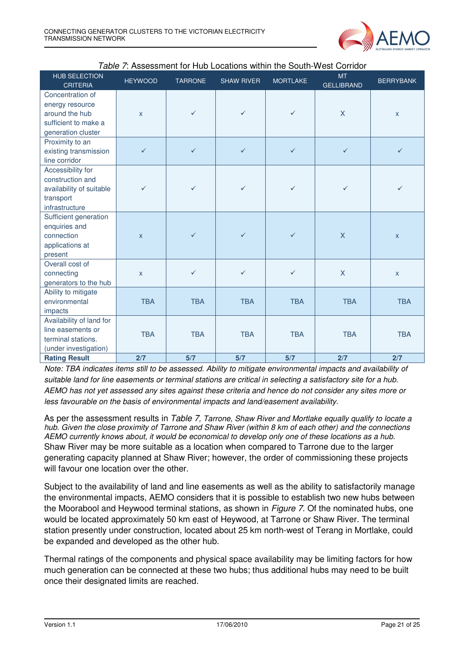

| HUB SELECTION<br><b>CRITERIA</b> | <b>HEYWOOD</b>          | <b>TARRONE</b> | <b>SHAW RIVER</b> | <b>MORTLAKE</b> | <b>MT</b><br><b>GELLIBRAND</b> | <b>BERRYBANK</b> |
|----------------------------------|-------------------------|----------------|-------------------|-----------------|--------------------------------|------------------|
| Concentration of                 |                         |                |                   |                 |                                |                  |
| energy resource                  |                         |                |                   |                 |                                |                  |
| around the hub                   | $\mathsf{x}$            | $\checkmark$   | $\checkmark$      | $\checkmark$    | X                              | $\mathsf{X}$     |
| sufficient to make a             |                         |                |                   |                 |                                |                  |
| generation cluster               |                         |                |                   |                 |                                |                  |
| Proximity to an                  |                         |                |                   |                 |                                |                  |
| existing transmission            | $\checkmark$            | $\checkmark$   | $\checkmark$      | $\checkmark$    | $\checkmark$                   | $\checkmark$     |
| line corridor                    |                         |                |                   |                 |                                |                  |
| Accessibility for                |                         |                |                   |                 |                                |                  |
| construction and                 |                         |                |                   |                 |                                |                  |
| availability of suitable         | $\checkmark$            | ✓              | $\checkmark$      | $\checkmark$    | $\checkmark$                   | ✓                |
| transport                        |                         |                |                   |                 |                                |                  |
| infrastructure                   |                         |                |                   |                 |                                |                  |
| Sufficient generation            |                         |                |                   |                 |                                |                  |
| enquiries and                    |                         |                |                   |                 |                                |                  |
| connection                       | $\overline{\mathsf{x}}$ | $\checkmark$   | $\checkmark$      | $\checkmark$    | $\mathsf{X}$                   | $\mathsf{x}$     |
| applications at                  |                         |                |                   |                 |                                |                  |
| present                          |                         |                |                   |                 |                                |                  |
| Overall cost of                  |                         |                |                   |                 |                                |                  |
| connecting                       | $\mathsf{x}$            | $\checkmark$   | $\checkmark$      | $\checkmark$    | $\mathsf{X}$                   | $\mathsf{X}$     |
| generators to the hub            |                         |                |                   |                 |                                |                  |
| Ability to mitigate              |                         |                |                   |                 |                                |                  |
| environmental                    | <b>TBA</b>              | <b>TBA</b>     | <b>TBA</b>        | <b>TBA</b>      | <b>TBA</b>                     | <b>TBA</b>       |
| impacts                          |                         |                |                   |                 |                                |                  |
| Availability of land for         |                         |                |                   |                 |                                |                  |
| line easements or                | <b>TBA</b>              | <b>TBA</b>     | <b>TBA</b>        | <b>TBA</b>      | <b>TBA</b>                     | <b>TBA</b>       |
| terminal stations.               |                         |                |                   |                 |                                |                  |
| (under investigation)            |                         |                |                   |                 |                                |                  |
| <b>Rating Result</b>             | 2/7                     | 5/7            | 5/7               | 5/7             | 2/7                            | 2/7              |

| Table 7: Assessment for Hub Locations within the South-West Corridor |  |  |
|----------------------------------------------------------------------|--|--|
|----------------------------------------------------------------------|--|--|

Note: TBA indicates items still to be assessed. Ability to mitigate environmental impacts and availability of suitable land for line easements or terminal stations are critical in selecting a satisfactory site for a hub. AEMO has not yet assessed any sites against these criteria and hence do not consider any sites more or less favourable on the basis of environmental impacts and land/easement availability.

As per the assessment results in Table 7, Tarrone, Shaw River and Mortlake equally qualify to locate a hub. Given the close proximity of Tarrone and Shaw River (within 8 km of each other) and the connections AEMO currently knows about, it would be economical to develop only one of these locations as a hub. Shaw River may be more suitable as a location when compared to Tarrone due to the larger generating capacity planned at Shaw River; however, the order of commissioning these projects will favour one location over the other.

Subject to the availability of land and line easements as well as the ability to satisfactorily manage the environmental impacts, AEMO considers that it is possible to establish two new hubs between the Moorabool and Heywood terminal stations, as shown in *Figure 7*. Of the nominated hubs, one would be located approximately 50 km east of Heywood, at Tarrone or Shaw River. The terminal station presently under construction, located about 25 km north-west of Terang in Mortlake, could be expanded and developed as the other hub.

Thermal ratings of the components and physical space availability may be limiting factors for how much generation can be connected at these two hubs; thus additional hubs may need to be built once their designated limits are reached.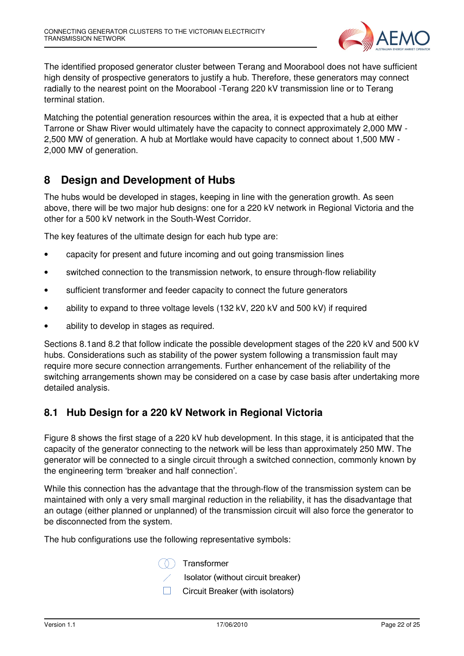

The identified proposed generator cluster between Terang and Moorabool does not have sufficient high density of prospective generators to justify a hub. Therefore, these generators may connect radially to the nearest point on the Moorabool -Terang 220 kV transmission line or to Terang terminal station.

Matching the potential generation resources within the area, it is expected that a hub at either Tarrone or Shaw River would ultimately have the capacity to connect approximately 2,000 MW - 2,500 MW of generation. A hub at Mortlake would have capacity to connect about 1,500 MW - 2,000 MW of generation.

## **8 Design and Development of Hubs**

The hubs would be developed in stages, keeping in line with the generation growth. As seen above, there will be two major hub designs: one for a 220 kV network in Regional Victoria and the other for a 500 kV network in the South-West Corridor.

The key features of the ultimate design for each hub type are:

- capacity for present and future incoming and out going transmission lines
- switched connection to the transmission network, to ensure through-flow reliability
- sufficient transformer and feeder capacity to connect the future generators
- ability to expand to three voltage levels (132 kV, 220 kV and 500 kV) if required
- ability to develop in stages as required.

Sections 8.1and 8.2 that follow indicate the possible development stages of the 220 kV and 500 kV hubs. Considerations such as stability of the power system following a transmission fault may require more secure connection arrangements. Further enhancement of the reliability of the switching arrangements shown may be considered on a case by case basis after undertaking more detailed analysis.

#### **8.1 Hub Design for a 220 kV Network in Regional Victoria**

Figure 8 shows the first stage of a 220 kV hub development. In this stage, it is anticipated that the capacity of the generator connecting to the network will be less than approximately 250 MW. The generator will be connected to a single circuit through a switched connection, commonly known by the engineering term 'breaker and half connection'.

While this connection has the advantage that the through-flow of the transmission system can be maintained with only a very small marginal reduction in the reliability, it has the disadvantage that an outage (either planned or unplanned) of the transmission circuit will also force the generator to be disconnected from the system.

The hub configurations use the following representative symbols:

Transformer

Isolator (without circuit breaker)

**Circuit Breaker (with isolators)**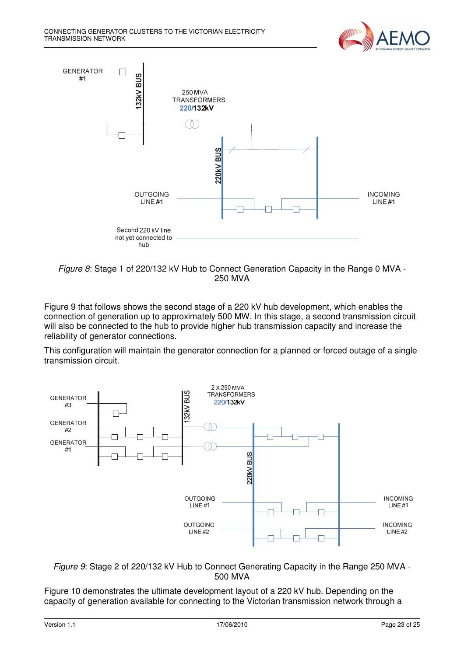



Figure 8: Stage 1 of 220/132 kV Hub to Connect Generation Capacity in the Range 0 MVA - 250 MVA

Figure 9 that follows shows the second stage of a 220 kV hub development, which enables the connection of generation up to approximately 500 MW. In this stage, a second transmission circuit will also be connected to the hub to provide higher hub transmission capacity and increase the reliability of generator connections.

This configuration will maintain the generator connection for a planned or forced outage of a single transmission circuit.



Figure 9: Stage 2 of 220/132 kV Hub to Connect Generating Capacity in the Range 250 MVA - 500 MVA

Figure 10 demonstrates the ultimate development layout of a 220 kV hub. Depending on the capacity of generation available for connecting to the Victorian transmission network through a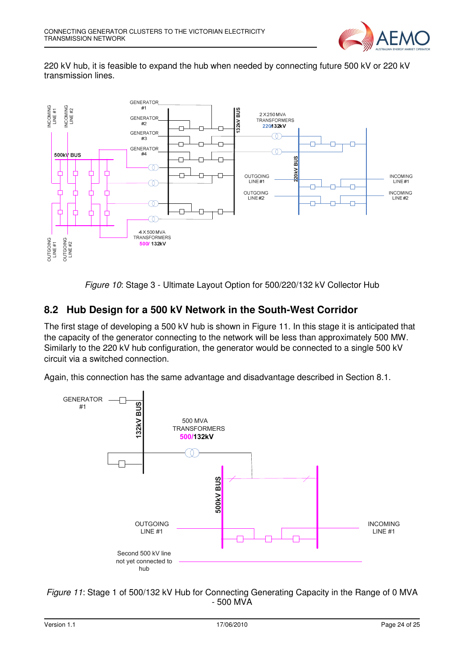

220 kV hub, it is feasible to expand the hub when needed by connecting future 500 kV or 220 kV transmission lines.



Figure 10: Stage 3 - Ultimate Layout Option for 500/220/132 kV Collector Hub

#### **8.2 Hub Design for a 500 kV Network in the South-West Corridor**

The first stage of developing a 500 kV hub is shown in Figure 11. In this stage it is anticipated that the capacity of the generator connecting to the network will be less than approximately 500 MW. Similarly to the 220 kV hub configuration, the generator would be connected to a single 500 kV circuit via a switched connection.

Again, this connection has the same advantage and disadvantage described in Section 8.1.



Figure 11: Stage 1 of 500/132 kV Hub for Connecting Generating Capacity in the Range of 0 MVA - 500 MVA